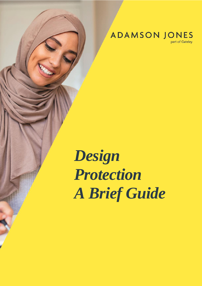**ADAMSON JONES** 

part of Gateley

*Design Protection A Brief Guide*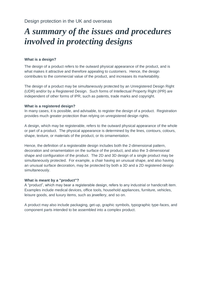# *A summary of the issues and procedures involved in protecting designs*

# **What is a design?**

The design of a product refers to the outward physical appearance of the product, and is what makes it attractive and therefore appealing to customers. Hence, the design contributes to the commercial value of the product, and increases its marketability.

The design of a product may be simultaneously protected by an Unregistered Design Right (UDR) and/or by a Registered Design. Such forms of Intellectual Property Right (IPR) are independent of other forms of IPR, such as patents, trade marks and copyright.

# **What is a registered design?**

In many cases, it is possible, and advisable, to register the design of a product. Registration provides much greater protection than relying on unregistered design rights.

A design, which may be registerable, refers to the outward physical appearance of the whole or part of a product. The physical appearance is determined by the lines, contours, colours, shape, texture, or materials of the product, or its ornamentation.

Hence, the definition of a registerable design includes both the 2-dimensional pattern, decoration and ornamentation on the surface of the product, and also the 3-dimensional shape and configuration of the product. The 2D and 3D design of a single product may be simultaneously protected. For example, a chair having an unusual shape, and also having an unusual surface decoration, may be protected by both a 3D and a 2D registered design simultaneously.

# **What is meant by a "product"?**

A "product", which may bear a registerable design, refers to any industrial or handicraft item. Examples include medical devices, office tools, household appliances, furniture, vehicles, leisure goods, and luxury items, such as jewellery, and so on.

A product may also include packaging, get-up, graphic symbols, typographic type-faces, and component parts intended to be assembled into a complex product.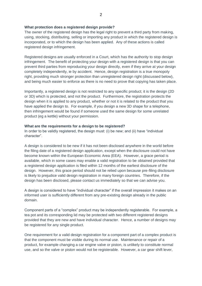# **What protection does a registered design provide?**

The owner of the registered design has the legal right to prevent a third party from making, using, stocking, distributing, selling or importing any product in which the registered design is incorporated, or to which the design has been applied. Any of these actions is called registered design infringement.

Registered designs are usually enforced in a Court, which has the authority to stop design infringement. The benefit of protecting your design with a registered design is that you can prevent third parties from reproducing your design directly, even if they arrive at your design completely independently, ie by accident. Hence, design registration is a true monopoly right, providing much stronger protection than unregistered design right (discussed below), and being much easier to enforce as there is no need to prove that copying has taken place.

Importantly, a registered design is not restricted to any specific product; it is the design (2D or 3D) which is protected, and not the product. Furthermore, the registration protects the design when it is applied to any product, whether or not it is related to the product that you have applied the design to. For example, if you design a new 3D shape for a telephone, then infringement would be found if someone used the same design for some unrelated product (eg a kettle) without your permission.

# **What are the requirements for a design to be registered?**

In order to be validly registered, the design must: (i) be new; and (ii) have "individual character".

A design is considered to be new if it has not been disclosed anywhere in the world before the filing date of a registered design application, except when the disclosure could not have become known within the European Economic Area (EEA). However, a grace period is available, which in some cases may enable a valid registration to be obtained provided that a registered design application is filed within 12 months of the earliest disclosure of the design. However, this grace period should not be relied upon because pre-filing disclosure is likely to prejudice valid design registration in many foreign countries. Therefore, if the design has been disclosed, please contact us immediately so that we can advise you.

A design is considered to have "individual character" if the overall impression it makes on an informed user is sufficiently different from any pre-existing design already in the public domain.

Component parts of a "complex" product may be independently registerable. For example, a tea pot and its corresponding lid may be protected with two different registered designs provided that they are new and have individual character. Hence, a number of designs may be registered for any single product.

One requirement for a valid design registration for a component part of a complex product is that the component must be visible during its normal use. Maintenance or repair of a product, for example changing a car engine valve or piston, is unlikely to constitute normal use, and so the valve or piston would not be registerable. However, a car gear shift lever,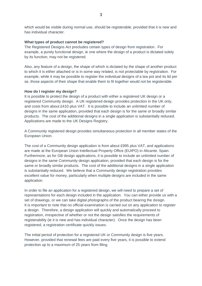which would be visible during normal use, should be registerable, provided that it is new and has individual character.

### **What types of product cannot be registered?**

The Registered Designs Act precludes certain types of design from registration. For example, a purely functional design, ie one where the design of a product is dictated solely by its function, may not be registered.

Also, any feature of a design, the shape of which is dictated by the shape of another product to which it is either attached or is in some way related, is not protectable by registration. For example, while it may be possible to register the individual designs of a tea pot and its lid per se, those aspects of their shape that enable them to fit together would not be registerable.

#### **How do I register my design?**

It is possible to protect the design of a product with either a registered UK design or a registered Community design. A UK registered design provides protection in the UK only, and costs from about £410 plus VAT. It is possible to include an unlimited number of designs in the same application, provided that each design is for the same or broadly similar products. The cost of the additional designs in a single application is substantially reduced. Applications are made to the UK Designs Registry.

A Community registered design provides simultaneous protection in all member states of the European Union.

The cost of a Community design application is from about £995 plus VAT, and applications are made at the European Union Intellectual Property Office (EUIPO) in Alicante, Spain. Furthermore, as for GB design applications, it is possible to include an unlimited number of designs in the same Community design application, provided that each design is for the same or broadly similar products. The cost of the additional designs in a single application is substantially reduced. We believe that a Community design registration provides excellent value for money, particularly when multiple designs are included in the same application.

In order to file an application for a registered design, we will need to prepare a set of representations for each design included in the application. You can either provide us with a set of drawings, or we can take digital photographs of the product bearing the design. It is important to note that no official examination is carried out on any application to register a design. Therefore, a design application will quickly and automatically proceed to registration, irrespective of whether or not the design satisfies the requirements of registerability (ie it is new and has individual character). Once the design has been registered, a registration certificate quickly issues.

The initial period of protection for a registered UK or Community design is five years. However, provided that renewal fees are paid every five years, it is possible to extend protection up to a maximum of 25 years from filing.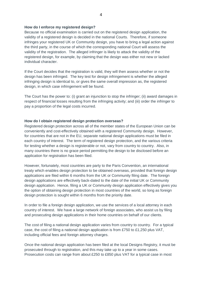## **How do I enforce my registered design?**

Because no official examination is carried out on the registered design application, the validity of a registered design is decided in the national Courts. Therefore, if someone infringes your registered UK or Community design, you have to bring a legal action against the third party, in the course of which the corresponding national Court will assess the validity of the registration. The alleged infringer is likely to attack the validity of the registered design, for example, by claiming that the design was either not new or lacked individual character.

If the Court decides that the registration is valid, they will then assess whether or not the design has been infringed. The key test for design infringement is whether the alleged infringing design is identical to, or gives the same overall impression as, the registered design, in which case infringement will be found.

The Court has the power to: (i) grant an injunction to stop the infringer; (ii) award damages in respect of financial losses resulting from the infringing activity; and (iii) order the infringer to pay a proportion of the legal costs incurred.

# **How do I obtain registered design protection overseas?**

Registered design protection across all of the member states of the European Union can be conveniently and cost-effectively obtained with a registered Community design. However, for countries that are not in the EU, separate national design applications must be filed in each country of interest. The term of registered design protection, and the various criteria for testing whether a design is registerable or not, vary from country to country. Also, in many countries there is no grace period permitting the design to be disclosed before an application for registration has been filed.

However, fortunately, most countries are party to the Paris Convention, an international treaty which enables design protection to be obtained overseas, provided that foreign design applications are filed within 6 months from the UK or Community filing date. The foreign design applications are effectively back-dated to the date of the initial UK or Community design application. Hence, filing a UK or Community design application effectively gives you the option of obtaining design protection in most countries of the world, so long as foreign design protection is sought within 6 months from the priority date.

In order to file a foreign design application, we use the services of a local attorney in each country of interest. We have a large network of foreign associates, who assist us by filing and prosecuting design applications in their home countries on behalf of our clients.

The cost of filing a national design application varies from country to country. For a typical case, the cost of filing a national design application is from £750 to £1,250 plus VAT, including official fees and foreign attorney charges.

Once the national design application has been filed at the local Designs Registry, it must be prosecuted through to registration, and this may take up to a year in some cases. Prosecution costs can range from about £250 to £850 plus VAT for a typical case in most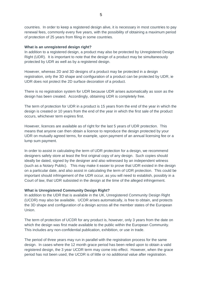countries. In order to keep a registered design alive, it is necessary in most countries to pay renewal fees, commonly every five years, with the possibility of obtaining a maximum period of protection of 25 years from filing in some countries.

### **What is an unregistered design right?**

In addition to a registered design, a product may also be protected by Unregistered Design Right (UDR). It is important to note that the design of a product may be simultaneously protected by UDR as well as by a registered design.

However, whereas 2D and 3D designs of a product may be protected in a design registration, only the 3D shape and configuration of a product can be protected by UDR, ie UDR does not protect the 2D surface decoration of a product.

There is no registration system for UDR because UDR arises automatically as soon as the design has been created. Accordingly, obtaining UDR is completely free.

The term of protection for UDR in a product is 15 years from the end of the year in which the design is created or 10 years from the end of the year in which the first sale of the product occurs, whichever term expires first.

However, licences are available as of right for the last 5 years of UDR protection. This means that anyone can then obtain a licence to reproduce the design protected by your UDR on mutually agreed terms, for example, upon payment of an annual licensing fee or a lump sum payment.

In order to assist in calculating the term of UDR protection for a design, we recommend designers safely store at least the first original copy of any design. Such copies should ideally be dated, signed by the designer and also witnessed by an independent witness (such as a Notary Public). This may make it easier to prove that UDR existed in the design on a particular date, and also assist in calculating the term of UDR protection. This could be important should infringement of the UDR occur, as you will need to establish, possibly in a Court of law, that UDR subsisted in the design at the time of the alleged infringement.

#### **What is Unregistered Community Design Right?**

In addition to the UDR that is available in the UK, Unregistered Community Design Right (UCDR) may also be available. UCDR arises automatically, is free to obtain, and protects the 3D shape and configuration of a design across all the member states of the European Union.

The term of protection of UCDR for any product is, however, only 3 years from the date on which the design was first made available to the public within the European Community. This includes any non-confidential publication, exhibition, or use in trade.

The period of three years may run in parallel with the registration process for the same design. In cases where the 12 month grace period has been relied upon to obtain a valid registered design, the 3 year UCDR term may come into effect. However, when the grace period has not been used, the UCDR is of little or no additional value after registration.